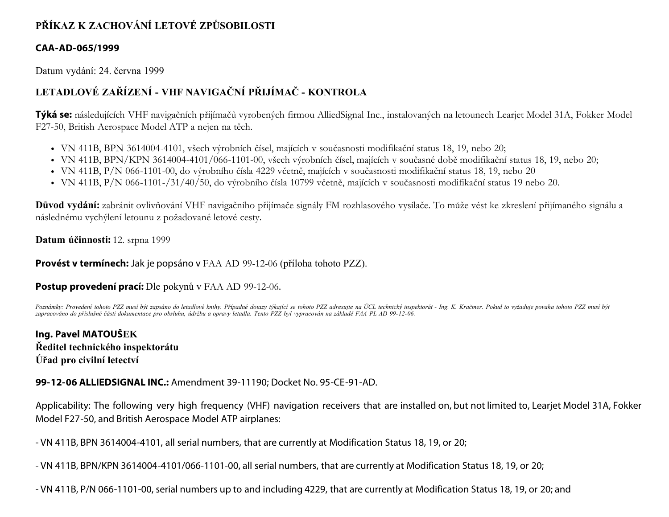# **PŘÍKAZ K ZACHOVÁNÍ LETOVÉ ZPŮSOBILOSTI**

#### **CAA-AD-065/1999**

Datum vydání: 24. června 1999

# **LETADLOVÉ ZAŘÍZENÍ - VHF NAVIGAČNÍ PŘIJÍMAČ - KONTROLA**

**Týká se:** následujících VHF navigačních přijímačů vyrobených firmou AlliedSignal Inc., instalovaných na letounech Learjet Model 31A, Fokker Model F27-50, British Aerospace Model ATP a nejen na těch.

- VN 411B, BPN 3614004-4101, všech výrobních čísel, majících v současnosti modifikační status 18, 19, nebo 20;
- VN 411B, BPN/KPN 3614004-4101/066-1101-00, všech výrobních čísel, majících v současné době modifikační status 18, 19, nebo 20;
- VN 411B, P/N 066-1101-00, do výrobního čísla 4229 včetně, majících v současnosti modifikační status 18, 19, nebo 20
- VN 411B, P/N 066-1101-/31/40/50, do výrobního čísla 10799 včetně, majících v současnosti modifikační status 19 nebo 20.

**Důvod vydání:** zabránit ovlivňování VHF navigačního přijímače signály FM rozhlasového vysílače. To může vést ke zkreslení přijímaného signálu a následnému vychýlení letounu z požadované letové cesty.

**Datum účinnosti:** 12. srpna 1999

**Provést v termínech:** Jak je popsáno v FAA AD 99-12-06 (příloha tohoto PZZ).

**Postup provedení prací:** Dle pokynů v FAA AD 99-12-06.

*Poznámky: Provedení tohoto PZZ musí být zapsáno do letadlové knihy. Případné dotazy týkající se tohoto PZZ adresujte na ÚCL technický inspektorát - Ing. K. Kračmer. Pokud to vyžaduje povaha tohoto PZZ musí být zapracováno do příslušné části dokumentace pro obsluhu, údržbu a opravy letadla. Tento PZZ byl vypracován na základě FAA PL AD 99-12-06.*

**Ing. Pavel MATOUŠEK Ředitel technického inspektorátu Úřad pro civilní letectví**

#### **99-12-06 ALLIEDSIGNAL INC.:** Amendment 39-11190; Docket No. 95-CE-91-AD.

Applicability: The following very high frequency (VHF) navigation receivers that are installed on, but not limited to, Learjet Model 31A, Fokker Model F27-50, and British Aerospace Model ATP airplanes:

- VN 411B, BPN 3614004-4101, all serial numbers, that are currently at Modification Status 18, 19, or 20;

- VN 411B, BPN/KPN 3614004-4101/066-1101-00, all serial numbers, that are currently at Modification Status 18, 19, or 20;

- VN 411B, P/N 066-1101-00, serial numbers up to and including 4229, that are currently at Modification Status 18, 19, or 20; and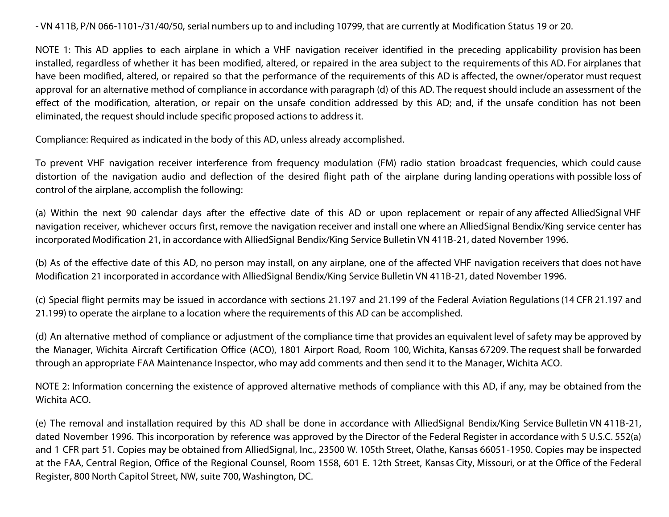- VN 411B, P/N 066-1101-/31/40/50, serial numbers up to and including 10799, that are currently at Modification Status 19 or 20.

NOTE 1: This AD applies to each airplane in which a VHF navigation receiver identified in the preceding applicability provision has been installed, regardless of whether it has been modified, altered, or repaired in the area subject to the requirements of this AD. For airplanes that have been modified, altered, or repaired so that the performance of the requirements of this AD is affected, the owner/operator must request approval for an alternative method of compliance in accordance with paragraph (d) of this AD. The request should include an assessment of the effect of the modification, alteration, or repair on the unsafe condition addressed by this AD; and, if the unsafe condition has not been eliminated, the request should include specific proposed actions to address it.

Compliance: Required as indicated in the body of this AD, unless already accomplished.

To prevent VHF navigation receiver interference from frequency modulation (FM) radio station broadcast frequencies, which could cause distortion of the navigation audio and deflection of the desired flight path of the airplane during landing operations with possible loss of control of the airplane, accomplish the following:

(a) Within the next 90 calendar days after the effective date of this AD or upon replacement or repair of any affected AlliedSignal VHF navigation receiver, whichever occurs first, remove the navigation receiver and install one where an AlliedSignal Bendix/King service center has incorporated Modification 21, in accordance with AlliedSignal Bendix/King Service Bulletin VN 411B-21, dated November 1996.

(b) As of the effective date of this AD, no person may install, on any airplane, one of the affected VHF navigation receivers that does not have Modification 21 incorporated in accordance with AlliedSignal Bendix/King Service Bulletin VN 411B-21, dated November 1996.

(c) Special flight permits may be issued in accordance with sections 21.197 and 21.199 of the Federal Aviation Regulations (14 CFR 21.197 and 21.199) to operate the airplane to a location where the requirements of this AD can be accomplished.

(d) An alternative method of compliance or adjustment of the compliance time that provides an equivalent level of safety may be approved by the Manager, Wichita Aircraft Certification Office (ACO), 1801 Airport Road, Room 100, Wichita, Kansas 67209. The request shall be forwarded through an appropriate FAA Maintenance Inspector, who may add comments and then send it to the Manager, Wichita ACO.

NOTE 2: Information concerning the existence of approved alternative methods of compliance with this AD, if any, may be obtained from the Wichita ACO.

(e) The removal and installation required by this AD shall be done in accordance with AlliedSignal Bendix/King Service Bulletin VN 411B-21, dated November 1996. This incorporation by reference was approved by the Director of the Federal Register in accordance with 5 U.S.C. 552(a) and 1 CFR part 51. Copies may be obtained from AlliedSignal, Inc., 23500 W. 105th Street, Olathe, Kansas 66051-1950. Copies may be inspected at the FAA, Central Region, Office of the Regional Counsel, Room 1558, 601 E. 12th Street, Kansas City, Missouri, or at the Office of the Federal Register, 800 North Capitol Street, NW, suite 700, Washington, DC.